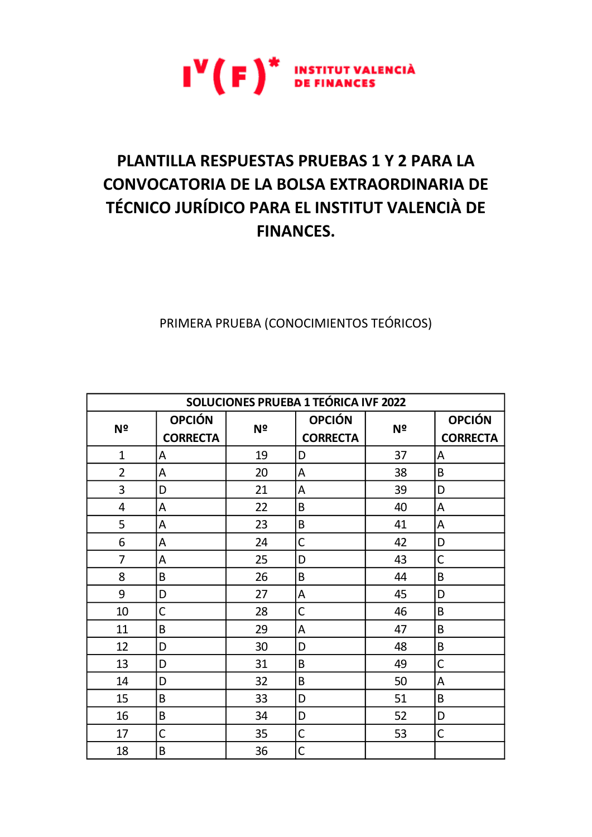

## PLANTILLA RESPUESTAS PRUEBAS 1 Y 2 PARA LA **CONVOCATORIA DE LA BOLSA EXTRAORDINARIA DE** TÉCNICO JURÍDICO PARA EL INSTITUT VALENCIÀ DE **FINANCES.**

PRIMERA PRUEBA (CONOCIMIENTOS TEÓRICOS)

| SOLUCIONES PRUEBA 1 TEÓRICA IVF 2022 |                 |    |                 |    |                 |  |  |
|--------------------------------------|-----------------|----|-----------------|----|-----------------|--|--|
| N <sup>o</sup>                       | <b>OPCIÓN</b>   | Nº | <b>OPCIÓN</b>   | Nº | <b>OPCIÓN</b>   |  |  |
|                                      | <b>CORRECTA</b> |    | <b>CORRECTA</b> |    | <b>CORRECTA</b> |  |  |
| $\mathbf 1$                          | A               | 19 | D               | 37 | A               |  |  |
| $\overline{2}$                       | A               | 20 | A               | 38 | B               |  |  |
| 3                                    | D               | 21 | А               | 39 | D               |  |  |
| 4                                    | A               | 22 | B               | 40 | A               |  |  |
| 5                                    | Α               | 23 | B               | 41 | А               |  |  |
| 6                                    | A               | 24 | $\mathsf{C}$    | 42 | D               |  |  |
| $\overline{7}$                       | A               | 25 | D               | 43 | C               |  |  |
| 8                                    | B               | 26 | B               | 44 | B               |  |  |
| 9                                    | D               | 27 | A               | 45 | D               |  |  |
| 10                                   | C               | 28 | $\overline{C}$  | 46 | B               |  |  |
| 11                                   | B               | 29 | A               | 47 | B               |  |  |
| 12                                   | D               | 30 | D               | 48 | B               |  |  |
| 13                                   | D               | 31 | B               | 49 | C               |  |  |
| 14                                   | D               | 32 | B               | 50 | A               |  |  |
| 15                                   | B               | 33 | D               | 51 | B               |  |  |
| 16                                   | B               | 34 | D               | 52 | D               |  |  |
| 17                                   | C               | 35 | $\mathsf C$     | 53 | С               |  |  |
| 18                                   | B               | 36 | $\mathsf{C}$    |    |                 |  |  |